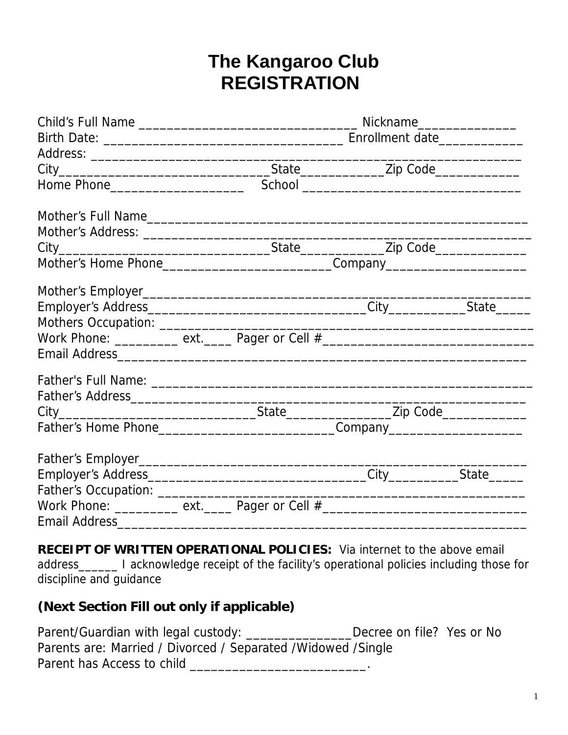# **The Kangaroo Club REGISTRATION**

| Mother's Home Phone________________________________Company______________________ |  |  |  |  |
|----------------------------------------------------------------------------------|--|--|--|--|
|                                                                                  |  |  |  |  |
|                                                                                  |  |  |  |  |
|                                                                                  |  |  |  |  |
| Work Phone: _________ ext. _____ Pager or Cell #________________________________ |  |  |  |  |
|                                                                                  |  |  |  |  |
|                                                                                  |  |  |  |  |
|                                                                                  |  |  |  |  |
|                                                                                  |  |  |  |  |
|                                                                                  |  |  |  |  |
|                                                                                  |  |  |  |  |
|                                                                                  |  |  |  |  |
|                                                                                  |  |  |  |  |
| Work Phone: _________ ext. _____ Pager or Cell #________________________________ |  |  |  |  |
| Email Address______                                                              |  |  |  |  |

**RECEIPT OF WRITTEN OPERATIONAL POLICIES:** Via internet to the above email address\_\_\_\_\_\_ I acknowledge receipt of the facility's operational policies including those for discipline and guidance

# **(Next Section Fill out only if applicable)**

| Parent/Guardian with legal custody:                            | Decree on file? Yes or No |  |
|----------------------------------------------------------------|---------------------------|--|
| Parents are: Married / Divorced / Separated / Widowed / Single |                           |  |
| Parent has Access to child                                     |                           |  |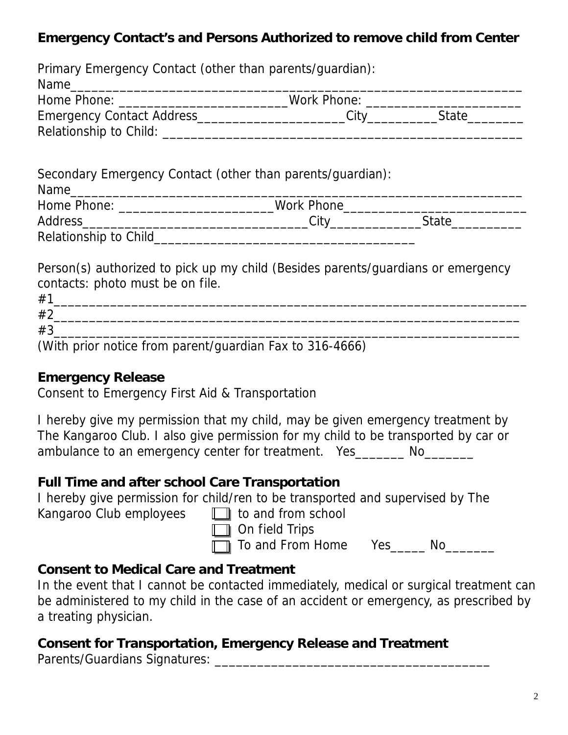# **Emergency Contact's and Persons Authorized to remove child from Center**

|                                                            | Home Phone: _____________________________Work Phone: ___________________________ |
|------------------------------------------------------------|----------------------------------------------------------------------------------|
|                                                            |                                                                                  |
|                                                            |                                                                                  |
| Secondary Emergency Contact (other than parents/guardian): |                                                                                  |
|                                                            | Home Phone: ___________________________Work Phone_______________________________ |
|                                                            |                                                                                  |

contacts: photo must be on file.

| #                                                                                                                                                                                                                              |        |                                                                                                                         |  |
|--------------------------------------------------------------------------------------------------------------------------------------------------------------------------------------------------------------------------------|--------|-------------------------------------------------------------------------------------------------------------------------|--|
| #2                                                                                                                                                                                                                             |        |                                                                                                                         |  |
| #3                                                                                                                                                                                                                             |        |                                                                                                                         |  |
| the contract of the contract of the contract of the contract of the contract of the contract of the contract of the contract of the contract of the contract of the contract of the contract of the contract of the contract o | $\sim$ | the contract of the contract of the contract of the contract of the contract of the contract of the contract of<br>____ |  |

(With prior notice from parent/guardian Fax to 316-4666)

### **Emergency Release**

Consent to Emergency First Aid & Transportation

I hereby give my permission that my child, may be given emergency treatment by The Kangaroo Club. I also give permission for my child to be transported by car or ambulance to an emergency center for treatment. Yes No

### **Full Time and after school Care Transportation**

I hereby give permission for child/ren to be transported and supervised by The

Kangaroo Club employees  $\Box$  to and from school

**n** On field Trips

**T** To and From Home Yes\_\_\_\_\_ No\_\_\_\_\_\_\_

# **Consent to Medical Care and Treatment**

In the event that I cannot be contacted immediately, medical or surgical treatment can be administered to my child in the case of an accident or emergency, as prescribed by a treating physician.

# **Consent for Transportation, Emergency Release and Treatment**

Parents/Guardians Signatures: \_\_\_\_\_\_\_\_\_\_\_\_\_\_\_\_\_\_\_\_\_\_\_\_\_\_\_\_\_\_\_\_\_\_\_\_\_\_\_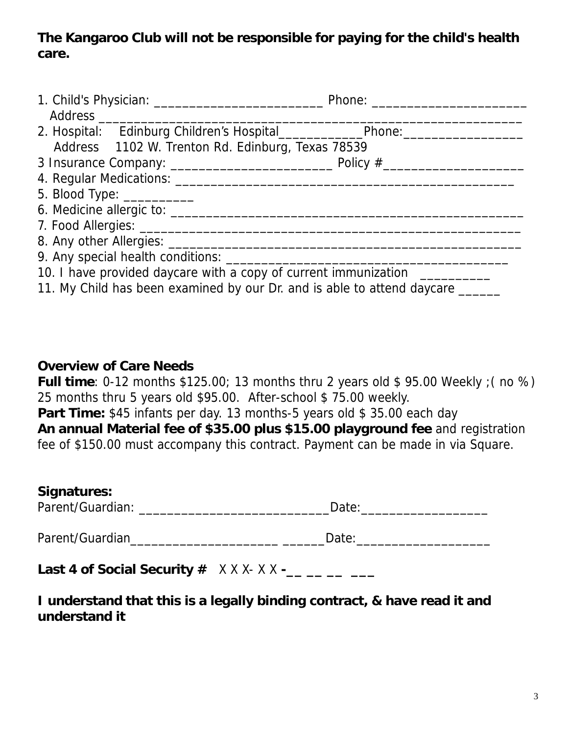# **The Kangaroo Club will not be responsible for paying for the child's health care.**

| 2. Hospital: Edinburg Children's Hospital_____________________Phone:_____________ |  |
|-----------------------------------------------------------------------------------|--|
| Address 1102 W. Trenton Rd. Edinburg, Texas 78539                                 |  |
|                                                                                   |  |
|                                                                                   |  |
| 5. Blood Type: ____________                                                       |  |
|                                                                                   |  |
|                                                                                   |  |
|                                                                                   |  |
|                                                                                   |  |
| 10. I have provided daycare with a copy of current immunization ___________       |  |
| 11. My Child has been examined by our Dr. and is able to attend daycare ______    |  |

#### **Overview of Care Needs**

**Full time**: 0-12 months \$125.00; 13 months thru 2 years old \$ 95.00 Weekly ;( no %) 25 months thru 5 years old \$95.00. After-school \$ 75.00 weekly.

**Part Time:** \$45 infants per day. 13 months-5 years old \$ 35.00 each day

**An annual Material fee of \$35.00 plus \$15.00 playground fee** and registration fee of \$150.00 must accompany this contract. Payment can be made in via Square.

### **Signatures:**

| Parent/Guardian:<br>Jate |  |
|--------------------------|--|

Parent/Guardian\_\_\_\_\_\_\_\_\_\_\_\_\_\_\_\_\_\_\_\_\_ \_\_\_\_\_\_Date:\_\_\_\_\_\_\_\_\_\_\_\_\_\_\_\_\_\_\_

| Last 4 of Social Security $#$ $X$ X X $\cdot$ X X - |  |
|-----------------------------------------------------|--|
|-----------------------------------------------------|--|

# **I understand that this is a legally binding contract, & have read it and understand it**